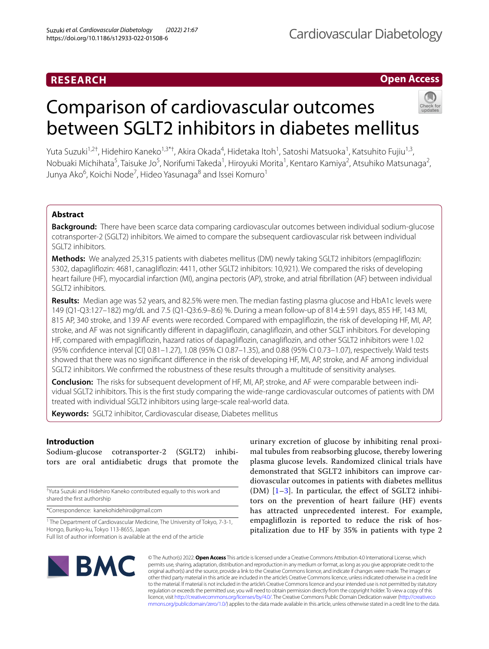## **RESEARCH**

## **Open Access**

# Comparison of cardiovascular outcomes between SGLT2 inhibitors in diabetes mellitus

Yuta Suzuki<sup>1,2†</sup>, Hidehiro Kaneko<sup>1,3\*†</sup>, Akira Okada<sup>4</sup>, Hidetaka Itoh<sup>1</sup>, Satoshi Matsuoka<sup>1</sup>, Katsuhito Fujiu<sup>1,3</sup>, Nobuaki Michihata<sup>5</sup>, Taisuke Jo<sup>5</sup>, Norifumi Takeda<sup>1</sup>, Hiroyuki Morita<sup>1</sup>, Kentaro Kamiya<sup>2</sup>, Atsuhiko Matsunaga<sup>2</sup>, Junya Ako<sup>6</sup>, Koichi Node<sup>7</sup>, Hideo Yasunaga<sup>8</sup> and Issei Komuro<sup>1</sup>

## **Abstract**

**Background:** There have been scarce data comparing cardiovascular outcomes between individual sodium-glucose cotransporter-2 (SGLT2) inhibitors. We aimed to compare the subsequent cardiovascular risk between individual SGLT2 inhibitors.

**Methods:** We analyzed 25,315 patients with diabetes mellitus (DM) newly taking SGLT2 inhibitors (empaglifozin: 5302, dapaglifozin: 4681, canaglifozin: 4411, other SGLT2 inhibitors: 10,921). We compared the risks of developing heart failure (HF), myocardial infarction (MI), angina pectoris (AP), stroke, and atrial fbrillation (AF) between individual SGLT2 inhibitors.

**Results:** Median age was 52 years, and 82.5% were men. The median fasting plasma glucose and HbA1c levels were 149 (Q1-Q3:127–182) mg/dL and 7.5 (Q1-Q3:6.9–8.6) %. During a mean follow-up of 814±591 days, 855 HF, 143 MI, 815 AP, 340 stroke, and 139 AF events were recorded. Compared with empaglifozin, the risk of developing HF, MI, AP, stroke, and AF was not signifcantly diferent in dapaglifozin, canaglifozin, and other SGLT inhibitors. For developing HF, compared with empaglifozin, hazard ratios of dapaglifozin, canaglifozin, and other SGLT2 inhibitors were 1.02 (95% confdence interval [CI] 0.81–1.27), 1.08 (95% CI 0.87–1.35), and 0.88 (95% CI 0.73–1.07), respectively. Wald tests showed that there was no signifcant diference in the risk of developing HF, MI, AP, stroke, and AF among individual SGLT2 inhibitors. We confrmed the robustness of these results through a multitude of sensitivity analyses.

**Conclusion:** The risks for subsequent development of HF, MI, AP, stroke, and AF were comparable between individual SGLT2 inhibitors. This is the frst study comparing the wide-range cardiovascular outcomes of patients with DM treated with individual SGLT2 inhibitors using large-scale real-world data.

**Keywords:** SGLT2 inhibitor, Cardiovascular disease, Diabetes mellitus

## **Introduction**

Sodium-glucose cotransporter-2 (SGLT2) inhibitors are oral antidiabetic drugs that promote the

† Yuta Suzuki and Hidehiro Kaneko contributed equally to this work and shared the frst authorship

\*Correspondence: kanekohidehiro@gmail.com

<sup>1</sup> The Department of Cardiovascular Medicine, The University of Tokyo, 7-3-1, Hongo, Bunkyo-ku, Tokyo 113-8655, Japan Full list of author information is available at the end of the article

urinary excretion of glucose by inhibiting renal proximal tubules from reabsorbing glucose, thereby lowering plasma glucose levels. Randomized clinical trials have demonstrated that SGLT2 inhibitors can improve cardiovascular outcomes in patients with diabetes mellitus (DM)  $[1-3]$  $[1-3]$ . In particular, the effect of SGLT2 inhibitors on the prevention of heart failure (HF) events has attracted unprecedented interest. For example, empaglifozin is reported to reduce the risk of hospitalization due to HF by 35% in patients with type 2



© The Author(s) 2022. **Open Access** This article is licensed under a Creative Commons Attribution 4.0 International License, which permits use, sharing, adaptation, distribution and reproduction in any medium or format, as long as you give appropriate credit to the original author(s) and the source, provide a link to the Creative Commons licence, and indicate if changes were made. The images or other third party material in this article are included in the article's Creative Commons licence, unless indicated otherwise in a credit line to the material. If material is not included in the article's Creative Commons licence and your intended use is not permitted by statutory regulation or exceeds the permitted use, you will need to obtain permission directly from the copyright holder. To view a copy of this licence, visit [http://creativecommons.org/licenses/by/4.0/.](http://creativecommons.org/licenses/by/4.0/) The Creative Commons Public Domain Dedication waiver ([http://creativeco](http://creativecommons.org/publicdomain/zero/1.0/) [mmons.org/publicdomain/zero/1.0/](http://creativecommons.org/publicdomain/zero/1.0/)) applies to the data made available in this article, unless otherwise stated in a credit line to the data.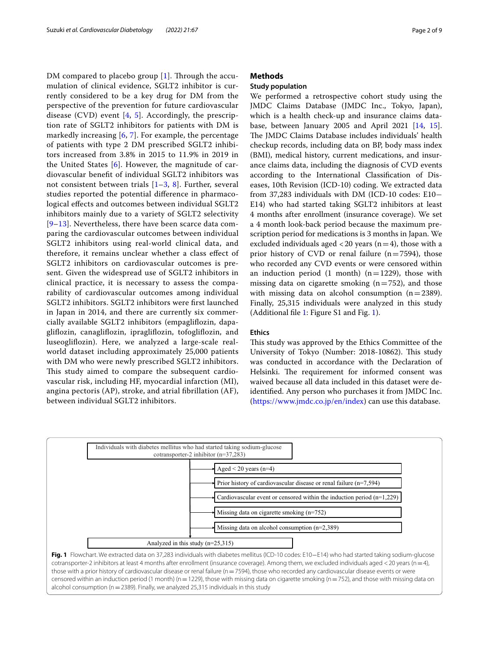DM compared to placebo group  $[1]$  $[1]$ . Through the accumulation of clinical evidence, SGLT2 inhibitor is currently considered to be a key drug for DM from the perspective of the prevention for future cardiovascular disease (CVD) event  $[4, 5]$  $[4, 5]$  $[4, 5]$  $[4, 5]$ . Accordingly, the prescription rate of SGLT2 inhibitors for patients with DM is markedly increasing  $[6, 7]$  $[6, 7]$  $[6, 7]$  $[6, 7]$  $[6, 7]$ . For example, the percentage of patients with type 2 DM prescribed SGLT2 inhibitors increased from 3.8% in 2015 to 11.9% in 2019 in the United States  $[6]$  $[6]$ . However, the magnitude of cardiovascular beneft of individual SGLT2 inhibitors was not consistent between trials [[1](#page-7-0)[–3](#page-7-1), [8](#page-7-6)]. Further, several studies reported the potential diference in pharmacological efects and outcomes between individual SGLT2 inhibitors mainly due to a variety of SGLT2 selectivity [[9](#page-7-7)[–13](#page-7-8)]. Nevertheless, there have been scarce data comparing the cardiovascular outcomes between individual SGLT2 inhibitors using real-world clinical data, and therefore, it remains unclear whether a class efect of SGLT2 inhibitors on cardiovascular outcomes is present. Given the widespread use of SGLT2 inhibitors in clinical practice, it is necessary to assess the comparability of cardiovascular outcomes among individual SGLT2 inhibitors. SGLT2 inhibitors were frst launched in Japan in 2014, and there are currently six commercially available SGLT2 inhibitors (empaglifozin, dapaglifozin, canaglifozin, ipraglifozin, tofoglifozin, and luseoglifozin). Here, we analyzed a large-scale realworld dataset including approximately 25,000 patients with DM who were newly prescribed SGLT2 inhibitors. This study aimed to compare the subsequent cardiovascular risk, including HF, myocardial infarction (MI), angina pectoris (AP), stroke, and atrial fbrillation (AF), between individual SGLT2 inhibitors.

#### **Methods**

### **Study population**

We performed a retrospective cohort study using the JMDC Claims Database (JMDC Inc., Tokyo, Japan), which is a health check-up and insurance claims database, between January 2005 and April 2021 [[14,](#page-7-9) [15](#page-7-10)]. The JMDC Claims Database includes individuals' health checkup records, including data on BP, body mass index (BMI), medical history, current medications, and insurance claims data, including the diagnosis of CVD events according to the International Classifcation of Diseases, 10th Revision (ICD-10) coding. We extracted data from 37,283 individuals with DM (ICD-10 codes: E10− E14) who had started taking SGLT2 inhibitors at least 4 months after enrollment (insurance coverage). We set a 4 month look-back period because the maximum prescription period for medications is 3 months in Japan. We excluded individuals aged  $<$  20 years (n = 4), those with a prior history of CVD or renal failure  $(n=7594)$ , those who recorded any CVD events or were censored within an induction period  $(1 \text{ month})$   $(n=1229)$ , those with missing data on cigarette smoking  $(n=752)$ , and those with missing data on alcohol consumption  $(n=2389)$ . Finally, 25,315 individuals were analyzed in this study (Additional fle [1](#page-6-0): Figure S1 and Fig. [1\)](#page-1-0).

#### **Ethics**

This study was approved by the Ethics Committee of the University of Tokyo (Number: 2018-10862). This study was conducted in accordance with the Declaration of Helsinki. The requirement for informed consent was waived because all data included in this dataset were deidentifed. Any person who purchases it from JMDC Inc. (<https://www.jmdc.co.jp/en/index>) can use this database.



<span id="page-1-0"></span>alcohol consumption (n=2389). Finally, we analyzed 25,315 individuals in this study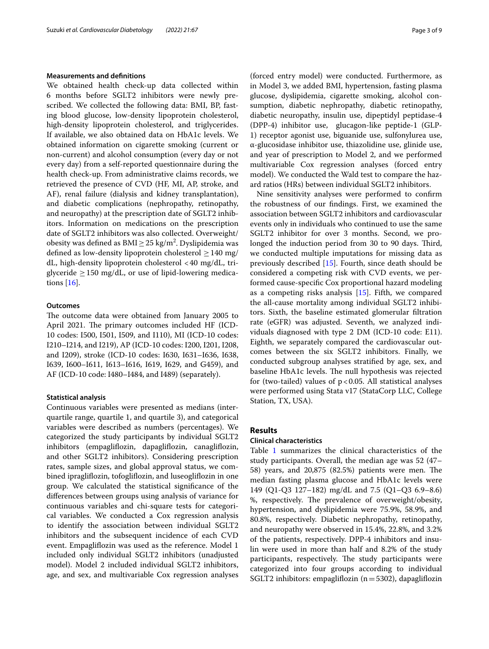#### **Measurements and defnitions**

We obtained health check-up data collected within 6 months before SGLT2 inhibitors were newly prescribed. We collected the following data: BMI, BP, fasting blood glucose, low-density lipoprotein cholesterol, high-density lipoprotein cholesterol, and triglycerides. If available, we also obtained data on HbA1c levels. We obtained information on cigarette smoking (current or non-current) and alcohol consumption (every day or not every day) from a self-reported questionnaire during the health check-up. From administrative claims records, we retrieved the presence of CVD (HF, MI, AP, stroke, and AF), renal failure (dialysis and kidney transplantation), and diabetic complications (nephropathy, retinopathy, and neuropathy) at the prescription date of SGLT2 inhibitors. Information on medications on the prescription date of SGLT2 inhibitors was also collected. Overweight/ obesity was defined as  $\text{BMI} \geq 25 \text{ kg/m}^2$ . Dyslipidemia was defined as low-density lipoprotein cholesterol  $\geq$  140 mg/ dL, high-density lipoprotein cholesterol <40 mg/dL, triglyceride  $\geq$  150 mg/dL, or use of lipid-lowering medications [\[16](#page-7-11)].

#### **Outcomes**

The outcome data were obtained from January 2005 to April 2021. The primary outcomes included HF (ICD-10 codes: I500, I501, I509, and I110), MI (ICD-10 codes: I210–I214, and I219), AP (ICD-10 codes: I200, I201, I208, and I209), stroke (ICD-10 codes: I630, I631–I636, I638, I639, I600–I611, I613–I616, I619, I629, and G459), and AF (ICD-10 code: I480–I484, and I489) (separately).

#### **Statistical analysis**

Continuous variables were presented as medians (interquartile range, quartile 1, and quartile 3), and categorical variables were described as numbers (percentages). We categorized the study participants by individual SGLT2 inhibitors (empaglifozin, dapaglifozin, canaglifozin, and other SGLT2 inhibitors). Considering prescription rates, sample sizes, and global approval status, we combined ipraglifozin, tofoglifozin, and luseoglifozin in one group. We calculated the statistical signifcance of the diferences between groups using analysis of variance for continuous variables and chi-square tests for categorical variables. We conducted a Cox regression analysis to identify the association between individual SGLT2 inhibitors and the subsequent incidence of each CVD event. Empaglifozin was used as the reference. Model 1 included only individual SGLT2 inhibitors (unadjusted model). Model 2 included individual SGLT2 inhibitors, age, and sex, and multivariable Cox regression analyses

(forced entry model) were conducted. Furthermore, as in Model 3, we added BMI, hypertension, fasting plasma glucose, dyslipidemia, cigarette smoking, alcohol consumption, diabetic nephropathy, diabetic retinopathy, diabetic neuropathy, insulin use, dipeptidyl peptidase-4 (DPP-4) inhibitor use, glucagon-like peptide-1 (GLP-1) receptor agonist use, biguanide use, sulfonylurea use, α-glucosidase inhibitor use, thiazolidine use, glinide use, and year of prescription to Model 2, and we performed multivariable Cox regression analyses (forced entry model). We conducted the Wald test to compare the hazard ratios (HRs) between individual SGLT2 inhibitors.

Nine sensitivity analyses were performed to confrm the robustness of our fndings. First, we examined the association between SGLT2 inhibitors and cardiovascular events only in individuals who continued to use the same SGLT2 inhibitor for over 3 months. Second, we prolonged the induction period from 30 to 90 days. Third, we conducted multiple imputations for missing data as previously described [\[15](#page-7-10)]. Fourth, since death should be considered a competing risk with CVD events, we performed cause-specifc Cox proportional hazard modeling as a competing risks analysis [[15](#page-7-10)]. Fifth, we compared the all-cause mortality among individual SGLT2 inhibitors. Sixth, the baseline estimated glomerular fltration rate (eGFR) was adjusted. Seventh, we analyzed individuals diagnosed with type 2 DM (ICD-10 code: E11). Eighth, we separately compared the cardiovascular outcomes between the six SGLT2 inhibitors. Finally, we conducted subgroup analyses stratifed by age, sex, and baseline HbA1c levels. The null hypothesis was rejected for (two-tailed) values of  $p < 0.05$ . All statistical analyses were performed using Stata v17 (StataCorp LLC, College Station, TX, USA).

#### **Results**

#### **Clinical characteristics**

Table [1](#page-3-0) summarizes the clinical characteristics of the study participants. Overall, the median age was 52 (47– 58) years, and  $20,875$  (82.5%) patients were men. The median fasting plasma glucose and HbA1c levels were 149 (Q1-Q3 127–182) mg/dL and 7.5 (Q1–Q3 6.9–8.6) %, respectively. The prevalence of overweight/obesity, hypertension, and dyslipidemia were 75.9%, 58.9%, and 80.8%, respectively. Diabetic nephropathy, retinopathy, and neuropathy were observed in 15.4%, 22.8%, and 3.2% of the patients, respectively. DPP-4 inhibitors and insulin were used in more than half and 8.2% of the study participants, respectively. The study participants were categorized into four groups according to individual SGLT2 inhibitors: empagliflozin ( $n=5302$ ), dapagliflozin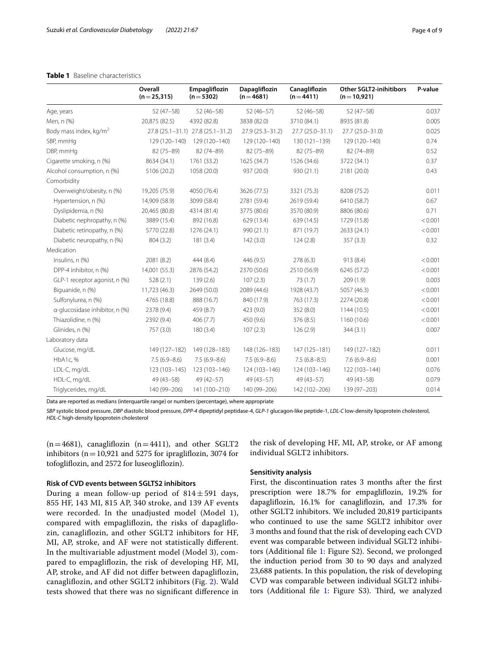#### <span id="page-3-0"></span>**Table 1** Baseline characteristics

|                                  | Overall<br>$(n=25,315)$ | Empagliflozin<br>$(n=5302)$       | <b>Dapagliflozin</b><br>$(n=4681)$ | Canagliflozin<br>$(n=4411)$ | <b>Other SGLT2-inihitibors</b><br>$(n=10,921)$ | P-value |
|----------------------------------|-------------------------|-----------------------------------|------------------------------------|-----------------------------|------------------------------------------------|---------|
| Age, years                       | $52(47-58)$             | $52(46 - 58)$                     | $52(46-57)$                        | $52(46 - 58)$               | $52(47-58)$                                    | 0.037   |
| Men, n (%)                       | 20,875 (82.5)           | 4392 (82.8)                       | 3838 (82.0)                        | 3710 (84.1)                 | 8935 (81.8)                                    | 0.005   |
| Body mass index, $\text{kg/m}^2$ |                         | 27.8 (25.1-31.1) 27.8 (25.1-31.2) | $27.9(25.3 - 31.2)$                | $27.7(25.0 - 31.1)$         | 27.7 (25.0-31.0)                               | 0.025   |
| SBP, mmHq                        | 129 (120-140)           | 129 (120-140)                     | 129 (120-140)                      | 130 (121-139)               | 129 (120-140)                                  | 0.74    |
| DBP, mmHg                        | 82 (75-89)              | 82 (74-89)                        | 82 (75-89)                         | 82 (75-89)                  | 82 (74-89)                                     | 0.52    |
| Cigarette smoking, n (%)         | 8634 (34.1)             | 1761 (33.2)                       | 1625 (34.7)                        | 1526 (34.6)                 | 3722 (34.1)                                    | 0.37    |
| Alcohol consumption, n (%)       | 5106 (20.2)             | 1058 (20.0)                       | 937 (20.0)                         | 930 (21.1)                  | 2181 (20.0)                                    | 0.43    |
| Comorbidity                      |                         |                                   |                                    |                             |                                                |         |
| Overweight/obesity, n (%)        | 19,205 (75.9)           | 4050 (76.4)                       | 3626 (77.5)                        | 3321 (75.3)                 | 8208 (75.2)                                    | 0.011   |
| Hypertension, n (%)              | 14,909 (58.9)           | 3099 (58.4)                       | 2781 (59.4)                        | 2619 (59.4)                 | 6410 (58.7)                                    | 0.67    |
| Dyslipidemia, n (%)              | 20,465 (80.8)           | 4314 (81.4)                       | 3775 (80.6)                        | 3570 (80.9)                 | 8806 (80.6)                                    | 0.71    |
| Diabetic nephropathy, n (%)      | 3889 (15.4)             | 892 (16.8)                        | 629 (13.4)                         | 639 (14.5)                  | 1729 (15.8)                                    | < 0.001 |
| Diabetic retinopathy, n (%)      | 5770 (22.8)             | 1276 (24.1)                       | 990 (21.1)                         | 871 (19.7)                  | 2633 (24.1)                                    | < 0.001 |
| Diabetic neuropathy, n (%)       | 804 (3.2)               | 181(3.4)                          | 142(3.0)                           | 124(2.8)                    | 357(3.3)                                       | 0.32    |
| Medication                       |                         |                                   |                                    |                             |                                                |         |
| Insulins, n (%)                  | 2081 (8.2)              | 444 (8.4)                         | 446 (9.5)                          | 278(6.3)                    | 913 (8.4)                                      | < 0.001 |
| DPP-4 inhibitor, n (%)           | 14,001 (55.3)           | 2876 (54.2)                       | 2370 (50.6)                        | 2510 (56.9)                 | 6245 (57.2)                                    | < 0.001 |
| GLP-1 receptor agonist, n (%)    | 528(2.1)                | 139(2.6)                          | 107(2.3)                           | 73(1.7)                     | 209(1.9)                                       | 0.003   |
| Biguanide, n (%)                 | 11,723 (46.3)           | 2649 (50.0)                       | 2089 (44.6)                        | 1928 (43.7)                 | 5057 (46.3)                                    | < 0.001 |
| Sulfonylurea, n (%)              | 4765 (18.8)             | 888 (16.7)                        | 840 (17.9)                         | 763 (17.3)                  | 2274 (20.8)                                    | < 0.001 |
| a-glucosidase inhibitor, n (%)   | 2378 (9.4)              | 459 (8.7)                         | 423 (9.0)                          | 352 (8.0)                   | 1144 (10.5)                                    | < 0.001 |
| Thiazolidine, n (%)              | 2392 (9.4)              | 406(7.7)                          | 450 (9.6)                          | 376 (8.5)                   | 1160 (10.6)                                    | < 0.001 |
| Glinides, n (%)                  | 757 (3.0)               | 180(3.4)                          | 107(2.3)                           | 126(2.9)                    | 344(3.1)                                       | 0.007   |
| Laboratory data                  |                         |                                   |                                    |                             |                                                |         |
| Glucose, mg/dL                   | 149 (127-182)           | 149 (128-183)                     | 148 (126-183)                      | 147 (125-181)               | 149 (127-182)                                  | 0.011   |
| HbA1c, %                         | $7.5(6.9 - 8.6)$        | $7.5(6.9 - 8.6)$                  | $7.5(6.9 - 8.6)$                   | $7.5(6.8-8.5)$              | $7.6(6.9 - 8.6)$                               | 0.001   |
| LDL-C, mg/dL                     | 123 (103-145)           | 123 (103-146)                     | 124 (103-146)                      | 124 (103-146)               | 122 (103-144)                                  | 0.076   |
| HDL-C, mg/dL                     | $49(43 - 58)$           | $49(42 - 57)$                     | 49 (43-57)                         | $49(43 - 57)$               | $49(43 - 58)$                                  | 0.079   |
| Triglycerides, mg/dL             | 140 (99-206)            | 141 (100-210)                     | 140 (99-206)                       | 142 (102-206)               | 139 (97-203)                                   | 0.014   |

Data are reported as medians (interquartile range) or numbers (percentage), where appropriate

*SBP* systolic blood pressure, *DBP* diastolic blood pressure, *DPP-4* dipeptidyl peptidase-4, *GLP-1* glucagon-like peptide-1, *LDL-C* low-density lipoprotein cholesterol, *HDL-C* high-density lipoprotein cholesterol

 $(n=4681)$ , canagliflozin  $(n=4411)$ , and other SGLT2 inhibitors ( $n=10,921$  and 5275 for ipraglifiozin, 3074 for tofoglifozin, and 2572 for luseoglifozin).

#### **Risk of CVD events between SGLTS2 inhibitors**

During a mean follow-up period of  $814 \pm 591$  days, 855 HF, 143 MI, 815 AP, 340 stroke, and 139 AF events were recorded. In the unadjusted model (Model 1), compared with empaglifozin, the risks of dapaglifozin, canaglifozin, and other SGLT2 inhibitors for HF, MI, AP, stroke, and AF were not statistically diferent. In the multivariable adjustment model (Model 3), compared to empaglifozin, the risk of developing HF, MI, AP, stroke, and AF did not difer between dapaglifozin, canaglifozin, and other SGLT2 inhibitors (Fig. [2](#page-4-0)). Wald tests showed that there was no signifcant diference in

the risk of developing HF, MI, AP, stroke, or AF among individual SGLT2 inhibitors.

#### **Sensitivity analysis**

First, the discontinuation rates 3 months after the frst prescription were 18.7% for empaglifozin, 19.2% for dapaglifozin, 16.1% for canaglifozin, and 17.3% for other SGLT2 inhibitors. We included 20,819 participants who continued to use the same SGLT2 inhibitor over 3 months and found that the risk of developing each CVD event was comparable between individual SGLT2 inhibitors (Additional fle [1](#page-6-0): Figure S2). Second, we prolonged the induction period from 30 to 90 days and analyzed 23,688 patients. In this population, the risk of developing CVD was comparable between individual SGLT2 inhibi-tors (Additional file [1](#page-6-0): Figure S3). Third, we analyzed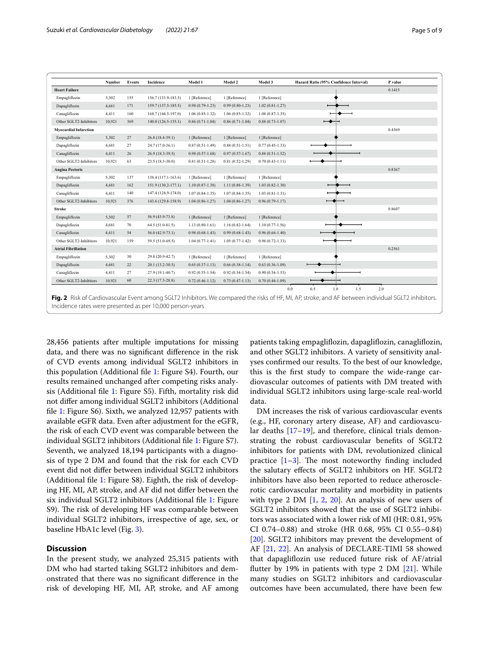|                              | Number | Events | Incidence              | Model 1             | Model 2             | Model 3             | Hazard Ratio (95% Confidence Interval) | P value |
|------------------------------|--------|--------|------------------------|---------------------|---------------------|---------------------|----------------------------------------|---------|
| <b>Heart Failure</b>         |        |        |                        |                     |                     |                     |                                        | 0.1415  |
| Empagliflozin                | 5,302  | 155    | $156.7(133.9-183.5)$   | 1 [Reference]       | 1 [Reference]       | 1 [Reference]       |                                        |         |
| Dapagliflozin                | 4,681  | 171    | 159.7 (137.5-185.5)    | $0.98(0.79-1.23)$   | $0.99(0.80 - 1.23)$ | $1.02(0.81 - 1.27)$ |                                        |         |
| Canagliflozin                | 4,411  | 160    | 168.7 (144.5-197.0)    | $1.06(0.85-1.32)$   | $1.06(0.85-1.32)$   | $1.08(0.87-1.35)$   |                                        |         |
| Other SGLT2-Inhibitors       | 10,921 | 369    | $140.0(126.5 - 155.1)$ | $0.86(0.71-1.04)$   | $0.86(0.71-1.04)$   | $0.88(0.73 - 1.07)$ | $\overline{\phantom{a}}$               |         |
| <b>Myocardial Infarction</b> |        |        |                        |                     |                     |                     |                                        | 0.4569  |
| Empagliflozin                | 5,302  | 27     | $26.8(18.4-39.1)$      | 1 [Reference]       | 1 [Reference]       | 1 [Reference]       |                                        |         |
| Dapagliflozin                | 4,681  | 27     | 24.7 (17.0-36.1)       | $0.87(0.51 - 1.49)$ | $0.88(0.51 - 1.51)$ | $0.77(0.45 - 1.33)$ |                                        |         |
| Canagliflozin                | 4,411  | 26     | 26.9 (18.3-39.5)       | $0.98(0.57-1.68)$   | $0.97(0.57 - 1.67)$ | $0.88(0.51-1.52)$   |                                        |         |
| Other SGLT2-Inhibitors       | 10,921 | 63     | 23.5 (18.3-30.0)       | $0.81(0.51 - 1.28)$ | $0.81(0.52 - 1.29)$ | $0.70(0.43 - 1.11)$ |                                        |         |
| <b>Angina Pectoris</b>       |        |        |                        |                     |                     |                     |                                        | 0.8367  |
| Empagliflozin                | 5,302  | 137    | 138.4 (117.1-163.6)    | 1 [Reference]       | 1 [Reference]       | 1 [Reference]       |                                        |         |
| Dapagliflozin                | 4,681  | 162    | 151.9 (130.2-177.1)    | $1.10(0.87-1.38)$   | $1.11(0.88-1.39)$   | $1.03(0.82 - 1.30)$ |                                        |         |
| Canagliflozin                | 4,411  | 140    | 147.4 (124.9-174.0)    | $1.07(0.84 - 1.35)$ | $1.07(0.84 - 1.35)$ | $1.03(0.81 - 1.31)$ |                                        |         |
| Other SGLT2-Inhibitors       | 10,921 | 376    | 143.6 (129.8-158.9)    | $1.04(0.86 - 1.27)$ | $1.04(0.86 - 1.27)$ | $0.96(0.79-1.17)$   |                                        |         |
| <b>Stroke</b>                |        |        |                        |                     |                     |                     |                                        | 0.8607  |
| Empagliflozin                | 5,302  | 57     | 56.9 (43.9-73.8)       | 1 [Reference]       | 1 [Reference]       | 1 [Reference]       |                                        |         |
| Dapagliflozin                | 4,681  | 70     | 64.5 (51.0-81.5)       | $1.13(0.80-1.61)$   | $1.16(0.82 - 1.64)$ | $1.10(0.77-1.56)$   |                                        |         |
| Canagliflozin                | 4,411  | 54     | $56.0(42.9-73.1)$      | $0.98(0.68 - 1.43)$ | $0.99(0.68 - 1.43)$ | $0.96(0.66 - 1.40)$ |                                        |         |
| Other SGLT2-Inhibitors       | 10,921 | 159    | 59.5 (51.0-69.5)       | $1.04(0.77-1.41)$   | $1.05(0.77-1.42)$   | $0.98(0.72 - 1.33)$ |                                        |         |
| <b>Atrial Fibrillation</b>   |        |        |                        |                     |                     |                     |                                        | 0.2561  |
| Empagliflozin                | 5,302  | 30     | 29.8 (20.9-42.7)       | 1 [Reference]       | 1 [Reference]       | 1 [Reference]       |                                        |         |
| Dapagliflozin                | 4,681  | 22     | $20.1(13.2 - 30.5)$    | $0.65(0.37-1.13)$   | $0.66(0.38-1.14)$   | $0.63(0.36 - 1.09)$ |                                        |         |
| Canagliflozin                | 4,411  | 27     | 27.9 (19.1-40.7)       | $0.92(0.55 - 1.54)$ | $0.92(0.54-1.54)$   | $0.90(0.54 - 1.53)$ |                                        |         |
|                              | 10,921 | 60     | 22.3 (17.3-28.8)       | $0.72(0.46 - 1.12)$ | $0.73(0.47-1.13)$   | $0.70(0.44-1.09)$   |                                        |         |

<span id="page-4-0"></span>28,456 patients after multiple imputations for missing data, and there was no signifcant diference in the risk of CVD events among individual SGLT2 inhibitors in this population (Additional fle [1:](#page-6-0) Figure S4). Fourth, our results remained unchanged after competing risks analysis (Additional fle [1](#page-6-0): Figure S5). Fifth, mortality risk did not difer among individual SGLT2 inhibitors (Additional fle [1:](#page-6-0) Figure S6). Sixth, we analyzed 12,957 patients with available eGFR data. Even after adjustment for the eGFR, the risk of each CVD event was comparable between the individual SGLT2 inhibitors (Additional fle [1](#page-6-0): Figure S7). Seventh, we analyzed 18,194 participants with a diagnosis of type 2 DM and found that the risk for each CVD event did not difer between individual SGLT2 inhibitors (Additional fle [1](#page-6-0): Figure S8). Eighth, the risk of developing HF, MI, AP, stroke, and AF did not difer between the six individual SGLT2 inhibitors (Additional fle [1](#page-6-0): Figure S9). The risk of developing HF was comparable between individual SGLT2 inhibitors, irrespective of age, sex, or baseline HbA1c level (Fig. [3\)](#page-5-0).

#### **Discussion**

In the present study, we analyzed 25,315 patients with DM who had started taking SGLT2 inhibitors and demonstrated that there was no signifcant diference in the risk of developing HF, MI, AP, stroke, and AF among patients taking empaglifozin, dapaglifozin, canaglifozin, and other SGLT2 inhibitors. A variety of sensitivity analyses confrmed our results. To the best of our knowledge, this is the frst study to compare the wide-range cardiovascular outcomes of patients with DM treated with individual SGLT2 inhibitors using large-scale real-world data.

DM increases the risk of various cardiovascular events (e.g., HF, coronary artery disease, AF) and cardiovascular deaths [[17](#page-7-12)[–19](#page-7-13)], and therefore, clinical trials demonstrating the robust cardiovascular benefts of SGLT2 inhibitors for patients with DM, revolutionized clinical practice  $[1-3]$  $[1-3]$ . The most noteworthy finding included the salutary efects of SGLT2 inhibitors on HF. SGLT2 inhibitors have also been reported to reduce atherosclerotic cardiovascular mortality and morbidity in patients with type 2 DM [\[1](#page-7-0), [2](#page-7-14), [20\]](#page-7-15). An analysis of new users of SGLT2 inhibitors showed that the use of SGLT2 inhibitors was associated with a lower risk of MI (HR: 0.81, 95% CI 0.74–0.88) and stroke (HR 0.68, 95% CI 0.55–0.84) [[20\]](#page-7-15). SGLT2 inhibitors may prevent the development of AF [[21](#page-7-16), [22](#page-7-17)]. An analysis of DECLARE-TIMI 58 showed that dapaglifozin use reduced future risk of AF/atrial futter by 19% in patients with type 2 DM [\[21](#page-7-16)]. While many studies on SGLT2 inhibitors and cardiovascular outcomes have been accumulated, there have been few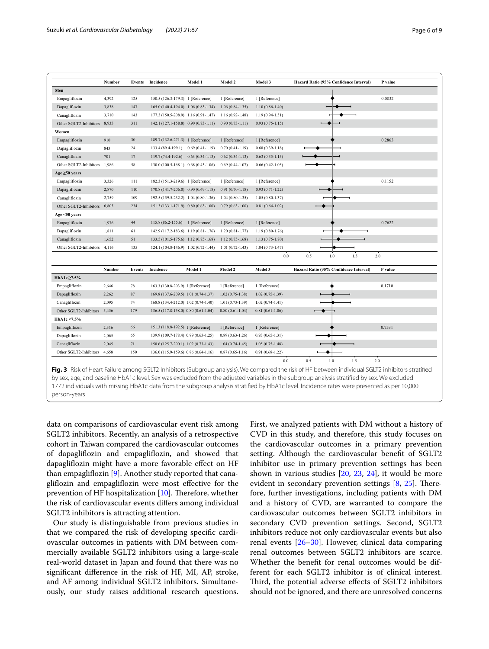|                              | Number | <b>Events</b> | Incidence                            | Model 1           | Model 2             | Model 3             | Hazard Ratio (95% Confidence Interval) | P value |
|------------------------------|--------|---------------|--------------------------------------|-------------------|---------------------|---------------------|----------------------------------------|---------|
| Men                          |        |               |                                      |                   |                     |                     |                                        |         |
| Empagliflozin                | 4,392  | 125           | 150.5 (126.3-179.3) 1 [Reference]    |                   | 1 [Reference]       | 1 [Reference]       |                                        | 0.0832  |
| Dapagliflozin                | 3,838  | 147           | 165.0 (140.4-194.0) 1.06 (0.83-1.34) |                   | $1.06(0.84-1.35)$   | $1.10(0.86-1.40)$   |                                        |         |
| Canagliflozin                | 3,710  | 143           | 177.3 (150.5-208.9) 1.16 (0.91-1.47) |                   | $1.16(0.92 - 1.48)$ | $1.19(0.94-1.51)$   |                                        |         |
| Other SGLT2-Inhibitors       | 8,935  | 311           | 142.1 (127.1-158.8) 0.90 (0.73-1.11) |                   | $0.90(0.73-1.11)$   | $0.93(0.75-1.15)$   |                                        |         |
| Women                        |        |               |                                      |                   |                     |                     |                                        |         |
| Empagliflozin                | 910    | 30            | 189.7 (132.6-271.3) 1 [Reference]    |                   | 1 [Reference]       | 1 [Reference]       |                                        | 0.2863  |
| Dapagliflozin                | 843    | 24            | 133.4 (89.4-199.1)                   | $0.69(0.41-1.19)$ | $0.70(0.41-1.19)$   | $0.68(0.39-1.18)$   |                                        |         |
| Canagliflozin                | 701    | 17            | 119.7 (74.4-192.6)                   | $0.63(0.34-1.13)$ | $0.62(0.34-1.13)$   | $0.63(0.35-1.15)$   |                                        |         |
| Other SGLT2-Inhibitors       | 1,986  | 58            | 130.0 (100.5-168.1) 0.68 (0.43-1.06) |                   | $0.69(0.44 - 1.07)$ | $0.66(0.42 - 1.05)$ |                                        |         |
| Age $\geq 50$ years          |        |               |                                      |                   |                     |                     |                                        |         |
| Empagliflozin                | 3,326  | 111           | 182.3 (151.3-219.6) 1 [Reference]    |                   | 1 [Reference]       | 1 [Reference]       |                                        | 0.1152  |
| Dapagliflozin                | 2,870  | 110           | 170.8 (141.7-206.0) 0.90 (0.69-1.18) |                   | $0.91(0.70-1.18)$   | $0.93(0.71-1.22)$   |                                        |         |
| Canagliflozin                | 2,759  | 109           | 192.5 (159.5-232.2) 1.04 (0.80-1.36) |                   | $1.04(0.80-1.35)$   | $1.05(0.80-1.37)$   |                                        |         |
| Other SGLT2-Inhibitors       | 6,805  | 234           | 151.3 (133.1-171.9) 0.80 (0.63-1.00) |                   | $0.79(0.63 - 1.00)$ | $0.81(0.64-1.02)$   |                                        |         |
| Age <50 years                |        |               |                                      |                   |                     |                     |                                        |         |
| Empagliflozin                | 1,976  | 44            | 115.8 (86.2-155.6) 1 [Reference]     |                   | 1 [Reference]       | 1 [Reference]       |                                        | 0.7622  |
| Dapagliflozin                | 1,811  | 61            | 142.9 (117.2-183.6) 1.19 (0.81-1.76) |                   | $1.20(0.81 - 1.77)$ | $1.19(0.80-1.76)$   |                                        |         |
| Canagliflozin                | 1,652  | 51            | 133.5 (101.5-175.6) 1.12 (0.75-1.68) |                   | $1.12(0.75-1.68)$   | $1.13(0.75-1.70)$   |                                        |         |
| Other SGLT2-Inhibitors       | 4,116  | 135           | 124.1 (104.8-146.9) 1.02 (0.72-1.44) |                   | $1.01(0.72 - 1.43)$ | $1.04(0.73 - 1.47)$ |                                        |         |
|                              |        |               |                                      |                   |                     | $0.0\,$             | 0.5<br>$1.0\,$<br>1.5                  | 2.0     |
|                              | Number | <b>Events</b> | Incidence                            | Model 1           | Model 2             | Model 3             | Hazard Ratio (95% Confidence Interval) | P value |
| HbA1c ≥7.5%                  |        |               |                                      |                   |                     |                     |                                        |         |
| Empagliflozin                | 2,646  | 78            | 163.3 (130.8-203.9) 1 [Reference]    |                   | 1 [Reference]       | 1 [Reference]       |                                        | 0.1710  |
| Dapagliflozin                | 2,262  | $87\,$        | 169.8 (137.6-209.5) 1.01 (0.74-1.37) |                   | $1.02(0.75 - 1.38)$ | $1.02(0.75-1.39)$   |                                        |         |
| Canagliflozin                | 2,095  | 74            | 168.8 (134.4-212.0) 1.02 (0.74-1.40) |                   | $1.01(0.73-1.39)$   | $1.02(0.74-1.41)$   |                                        |         |
| Other SGLT2-Inhibitors 5,456 |        | 179           | 136.5 (117.8-158.0) 0.80 (0.61-1.04) |                   | $0.80(0.61-1.04)$   | $0.81(0.61-1.06)$   |                                        |         |
| HbA1c <7.5%                  |        |               |                                      |                   |                     |                     |                                        |         |
| Empagliflozin                | 2,316  | 66            | 151.3 (118.8-192.5) 1 [Reference]    |                   | 1 [Reference]       | 1 [Reference]       |                                        | 0.7531  |
|                              | 2,065  | 65            | 139.9 (109.7-178.4) 0.89 (0.63-1.25) |                   | $0.89(0.63 - 1.26)$ | $0.93(0.65 - 1.31)$ |                                        |         |
| Dapagliflozin                |        | 71            | 158.6 (125.7-200.1) 1.02 (0.73-1.43) |                   | $1.04(0.74-1.45)$   | $1.05(0.75-1.48)$   |                                        |         |
| Canagliflozin                | 2,045  |               |                                      |                   |                     |                     |                                        |         |
| Other SGLT2-Inhibitors       | 4,658  | 150           | 136.0 (115.9-159.6) 0.86 (0.64-1.16) |                   | $0.87(0.65 - 1.16)$ | $0.91(0.68-1.22)$   |                                        |         |

<span id="page-5-0"></span>1772 individuals with missing HbA1c data from the subgroup analysis stratifed by HbA1c level. Incidence rates were presented as per 10,000 person-years

data on comparisons of cardiovascular event risk among SGLT2 inhibitors. Recently, an analysis of a retrospective cohort in Taiwan compared the cardiovascular outcomes of dapaglifozin and empaglifozin, and showed that dapaglifozin might have a more favorable efect on HF than empaglifozin [\[9](#page-7-7)]. Another study reported that canaglifozin and empaglifozin were most efective for the prevention of HF hospitalization  $[10]$ . Therefore, whether the risk of cardiovascular events difers among individual SGLT2 inhibitors is attracting attention.

Our study is distinguishable from previous studies in that we compared the risk of developing specifc cardiovascular outcomes in patients with DM between commercially available SGLT2 inhibitors using a large-scale real-world dataset in Japan and found that there was no signifcant diference in the risk of HF, MI, AP, stroke, and AF among individual SGLT2 inhibitors. Simultaneously, our study raises additional research questions. First, we analyzed patients with DM without a history of CVD in this study, and therefore, this study focuses on the cardiovascular outcomes in a primary prevention setting. Although the cardiovascular beneft of SGLT2 inhibitor use in primary prevention settings has been shown in various studies [\[20](#page-7-15), [23,](#page-8-0) [24\]](#page-8-1), it would be more evident in secondary prevention settings  $[8, 25]$  $[8, 25]$  $[8, 25]$  $[8, 25]$  $[8, 25]$ . Therefore, further investigations, including patients with DM and a history of CVD, are warranted to compare the cardiovascular outcomes between SGLT2 inhibitors in secondary CVD prevention settings. Second, SGLT2 inhibitors reduce not only cardiovascular events but also renal events [[26](#page-8-3)[–30](#page-8-4)]. However, clinical data comparing renal outcomes between SGLT2 inhibitors are scarce. Whether the beneft for renal outcomes would be different for each SGLT2 inhibitor is of clinical interest. Third, the potential adverse effects of SGLT2 inhibitors should not be ignored, and there are unresolved concerns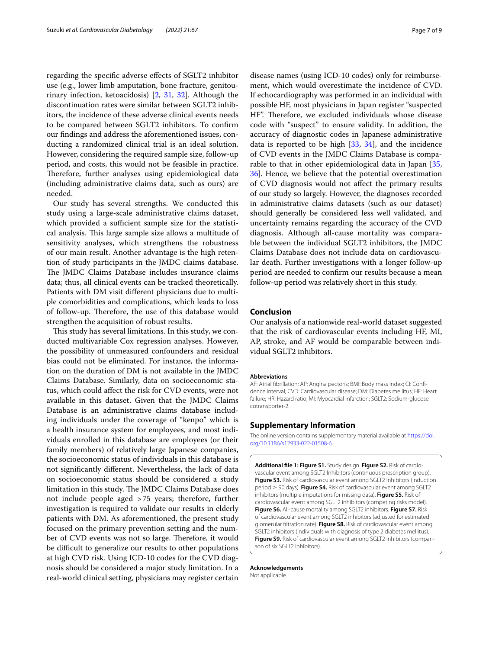regarding the specifc adverse efects of SGLT2 inhibitor use (e.g., lower limb amputation, bone fracture, genitourinary infection, ketoacidosis) [[2,](#page-7-14) [31,](#page-8-5) [32\]](#page-8-6). Although the discontinuation rates were similar between SGLT2 inhibitors, the incidence of these adverse clinical events needs to be compared between SGLT2 inhibitors. To confrm our fndings and address the aforementioned issues, conducting a randomized clinical trial is an ideal solution. However, considering the required sample size, follow-up period, and costs, this would not be feasible in practice. Therefore, further analyses using epidemiological data (including administrative claims data, such as ours) are needed.

Our study has several strengths. We conducted this study using a large-scale administrative claims dataset, which provided a sufficient sample size for the statistical analysis. This large sample size allows a multitude of sensitivity analyses, which strengthens the robustness of our main result. Another advantage is the high retention of study participants in the JMDC claims database. The JMDC Claims Database includes insurance claims data; thus, all clinical events can be tracked theoretically. Patients with DM visit diferent physicians due to multiple comorbidities and complications, which leads to loss of follow-up. Therefore, the use of this database would strengthen the acquisition of robust results.

This study has several limitations. In this study, we conducted multivariable Cox regression analyses. However, the possibility of unmeasured confounders and residual bias could not be eliminated. For instance, the information on the duration of DM is not available in the JMDC Claims Database. Similarly, data on socioeconomic status, which could afect the risk for CVD events, were not available in this dataset. Given that the JMDC Claims Database is an administrative claims database including individuals under the coverage of "kenpo" which is a health insurance system for employees, and most individuals enrolled in this database are employees (or their family members) of relatively large Japanese companies, the socioeconomic status of individuals in this database is not signifcantly diferent. Nevertheless, the lack of data on socioeconomic status should be considered a study limitation in this study. The JMDC Claims Database does not include people aged >75 years; therefore, further investigation is required to validate our results in elderly patients with DM. As aforementioned, the present study focused on the primary prevention setting and the number of CVD events was not so large. Therefore, it would be difficult to generalize our results to other populations at high CVD risk. Using ICD-10 codes for the CVD diagnosis should be considered a major study limitation. In a real-world clinical setting, physicians may register certain

disease names (using ICD-10 codes) only for reimbursement, which would overestimate the incidence of CVD. If echocardiography was performed in an individual with possible HF, most physicians in Japan register "suspected HF". Therefore, we excluded individuals whose disease code with "suspect" to ensure validity. In addition, the accuracy of diagnostic codes in Japanese administrative data is reported to be high [[33,](#page-8-7) [34\]](#page-8-8), and the incidence of CVD events in the JMDC Claims Database is comparable to that in other epidemiological data in Japan [[35](#page-8-9), [36\]](#page-8-10). Hence, we believe that the potential overestimation of CVD diagnosis would not afect the primary results of our study so largely. However, the diagnoses recorded in administrative claims datasets (such as our dataset) should generally be considered less well validated, and uncertainty remains regarding the accuracy of the CVD diagnosis. Although all-cause mortality was comparable between the individual SGLT2 inhibitors, the JMDC Claims Database does not include data on cardiovascular death. Further investigations with a longer follow-up period are needed to confrm our results because a mean follow-up period was relatively short in this study.

### **Conclusion**

Our analysis of a nationwide real-world dataset suggested that the risk of cardiovascular events including HF, MI, AP, stroke, and AF would be comparable between individual SGLT2 inhibitors.

#### **Abbreviations**

AF: Atrial fbrillation; AP: Angina pectoris; BMI: Body mass index; CI: Confdence interval; CVD: Cardiovascular disease; DM: Diabetes mellitus; HF: Heart failure; HR: Hazard ratio; MI: Myocardial infarction; SGLT2: Sodium-glucose cotransporter-2.

#### **Supplementary Information**

The online version contains supplementary material available at [https://doi.](https://doi.org/10.1186/s12933-022-01508-6) [org/10.1186/s12933-022-01508-6](https://doi.org/10.1186/s12933-022-01508-6).

<span id="page-6-0"></span>**Additional fle 1: Figure S1.** Study design. **Figure S2.** Risk of cardiovascular event among SGLT2 Inhibitors (continuous prescription group). **Figure S3.** Risk of cardiovascular event among SGLT2 inhibitors (induction period ≥ 90 days). **Figure S4.** Risk of cardiovascular event among SGLT2 inhibitors (multiple imputations for missing data). **Figure S5.** Risk of cardiovascular event among SGLT2 inhibitors (competing risks model). **Figure S6.** All-cause mortality among SGLT2 inhibitors. **Figure S7.** Risk of cardiovascular event among SGLT2 inhibitors (adjusted for estimated glomerular fltration rate). **Figure S8.** Risk of cardiovascular event among SGLT2 inhibitors (individuals with diagnosis of type 2 diabetes mellitus). **Figure S9.** Risk of cardiovascular event among SGLT2 inhibitors (comparison of six SGLT2 inhibitors).

**Acknowledgements** Not applicable.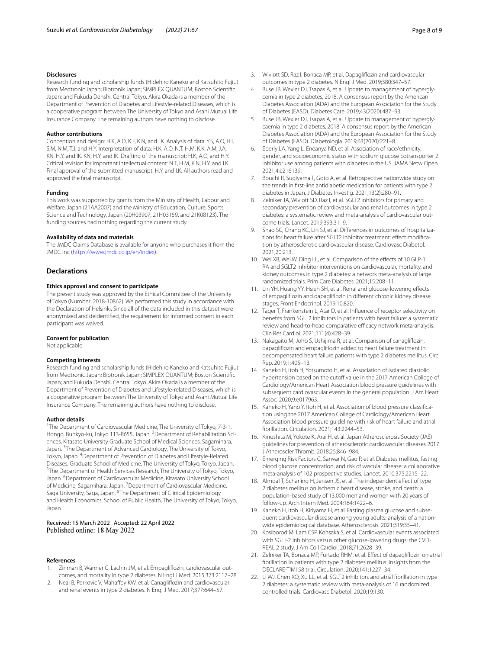#### **Disclosures**

Research funding and scholarship funds (Hidehiro Kaneko and Katsuhito Fujiu) from Medtronic Japan; Biotronik Japan; SIMPLEX QUANTUM; Boston Scientifc Japan; and Fukuda Denshi, Central Tokyo. Akira Okada is a member of the Department of Prevention of Diabetes and Lifestyle-related Diseases, which is a cooperative program between The University of Tokyo and Asahi Mutual Life Insurance Company. The remaining authors have nothing to disclose.

#### **Author contributions**

Conception and design: H.K, A.O, K.F, K.N, and I.K. Analysis of data: Y.S, A.O, H.I, S.M, N.M, T.J, and H.Y. Interpretation of data: H.K, A.O, N.T, H.M, K.K, A.M, J.A, KN, H.Y, and IK. KN, H.Y, and IK. Drafting of the manuscript: H.K, A.O, and H.Y. Critical revision for important intellectual content: N.T, H.M, K.N, H.Y, and I.K. Final approval of the submitted manuscript: H.Y, and I.K. All authors read and approved the fnal manuscript.

#### **Funding**

This work was supported by grants from the Ministry of Health, Labour and Welfare, Japan (21AA2007) and the Ministry of Education, Culture, Sports, Science and Technology, Japan (20H03907, 21H03159, and 21K08123). The funding sources had nothing regarding the current study.

#### **Availability of data and materials**

The JMDC Claims Database is available for anyone who purchases it from the JMDC Inc (<https://www.jmdc.co.jp/en/index>).

#### **Declarations**

#### **Ethics approval and consent to participate**

The present study was approved by the Ethical Committee of the University of Tokyo (Number: 2018-10862). We performed this study in accordance with the Declaration of Helsinki. Since all of the data included in this dataset were anonymized and deidentifed, the requirement for informed consent in each participant was waived.

#### **Consent for publication**

Not applicable.

#### **Competing interests**

Research funding and scholarship funds (Hidehiro Kaneko and Katsuhito Fujiu) from Medtronic Japan; Biotronik Japan; SIMPLEX QUANTUM; Boston Scientifc Japan; and Fukuda Denshi, Central Tokyo. Akira Okada is a member of the Department of Prevention of Diabetes and Lifestyle-related Diseases, which is a cooperative program between The University of Tokyo and Asahi Mutual Life Insurance Company. The remaining authors have nothing to disclose.

#### **Author details**

<sup>1</sup>The Department of Cardiovascular Medicine, The University of Tokyo, 7-3-1, Hongo, Bunkyo-ku, Tokyo 113-8655, Japan. <sup>2</sup>Department of Rehabilitation Sciences, Kitasato University Graduate School of Medical Sciences, Sagamihara, Japan. <sup>3</sup>The Department of Advanced Cardiology, The University of Tokyo, Tokyo, Japan. 4 Department of Prevention of Diabetes and Lifestyle-Related Diseases, Graduate School of Medicine, The University of Tokyo, Tokyo, Japan. 5 The Department of Health Services Research, The University of Tokyo, Tokyo, Japan. <sup>6</sup> Department of Cardiovascular Medicine, Kitasato University School of Medicine, Sagamihara, Japan. <sup>7</sup> Department of Cardiovascular Medicine, Saga University, Saga, Japan. <sup>8</sup>The Department of Clinical Epidemiology and Health Economics, School of Public Health, The University of Tokyo, Tokyo, Japan.

#### Received: 15 March 2022 Accepted: 22 April 2022 Published online: 18 May 2022

#### **References**

- <span id="page-7-0"></span>Zinman B, Wanner C, Lachin JM, et al. Empagliflozin, cardiovascular outcomes, and mortality in type 2 diabetes. N Engl J Med. 2015;373:2117–28.
- <span id="page-7-14"></span>2. Neal B, Perkovic V, Mahaffey KW, et al. Canagliflozin and cardiovascular and renal events in type 2 diabetes. N Engl J Med. 2017;377:644–57.
- <span id="page-7-1"></span>3. Wiviott SD, Raz I, Bonaca MP, et al. Dapaglifozin and cardiovascular outcomes in type 2 diabetes. N Engl J Med. 2019;380:347–57.
- <span id="page-7-2"></span>4. Buse JB, Wexler DJ, Tsapas A, et al. Update to management of hyperglycemia in type 2 diabetes, 2018. A consensus report by the American Diabetes Association (ADA) and the European Association for the Study of Diabetes (EASD). Diabetes Care. 2019;43(2020):487–93.
- <span id="page-7-3"></span>5. Buse JB, Wexler DJ, Tsapas A, et al. Update to management of hyperglycaemia in type 2 diabetes, 2018. A consensus report by the American Diabetes Association (ADA) and the European Association for the Study of Diabetes (EASD). Diabetologia. 2019;63(2020):221–8.
- <span id="page-7-4"></span>6. Eberly LA, Yang L, Eneanya ND, et al. Association of race/ethnicity, gender, and socioeconomic status with sodium glucose cotransporter 2 inhibitor use among patients with diabetes in the US. JAMA Netw Open. 2021;4:e216139.
- <span id="page-7-5"></span>7. Bouchi R, Sugiyama T, Goto A, et al. Retrospective nationwide study on the trends in frst-line antidiabetic medication for patients with type 2 diabetes in Japan. J Diabetes Investig. 2021;13(2):280–91.
- <span id="page-7-6"></span>8. Zelniker TA, Wiviott SD, Raz I, et al. SGLT2 inhibitors for primary and secondary prevention of cardiovascular and renal outcomes in type 2 diabetes: a systematic review and meta-analysis of cardiovascular outcome trials. Lancet. 2019;393:31–9.
- <span id="page-7-7"></span>9. Shao SC, Chang KC, Lin SJ, et al. Differences in outcomes of hospitalizations for heart failure after SGLT2 inhibitor treatment: effect modification by atherosclerotic cardiovascular disease. Cardiovasc Diabetol. 2021;20:213.
- <span id="page-7-18"></span>10. Wei XB, Wei W, Ding LL, et al. Comparison of the efects of 10 GLP-1 RA and SGLT2 inhibitor interventions on cardiovascular, mortality, and kidney outcomes in type 2 diabetes: a network meta-analysis of large randomized trials. Prim Care Diabetes. 2021;15:208–11.
- 11. Lin YH, Huang YY, Hsieh SH, et al. Renal and glucose-lowering efects of empaglifozin and dapaglifozin in diferent chronic kidney disease stages. Front Endocrinol. 2019;10:820.
- 12. Tager T, Frankenstein L, Atar D, et al. Infuence of receptor selectivity on benefts from SGLT2 inhibitors in patients with heart failure: a systematic review and head-to-head comparative efficacy network meta-analysis. Clin Res Cardiol. 2021;111(4):428–39.
- <span id="page-7-8"></span>13. Nakagaito M, Joho S, Ushijima R, et al. Comparison of canaglifozin, dapaglifozin and empaglifozin added to heart failure treatment in decompensated heart failure patients with type 2 diabetes mellitus. Circ Rep. 2019;1:405–13.
- <span id="page-7-9"></span>14. Kaneko H, Itoh H, Yotsumoto H, et al. Association of isolated diastolic hypertension based on the cutoff value in the 2017 American College of Cardiology/American Heart Association blood pressure guidelines with subsequent cardiovascular events in the general population. J Am Heart Assoc. 2020;9:e017963.
- <span id="page-7-10"></span>15. Kaneko H, Yano Y, Itoh H, et al. Association of blood pressure classifcation using the 2017 American College of Cardiology/American Heart Association blood pressure guideline with risk of heart failure and atrial fbrillation. Circulation. 2021;143:2244–53.
- <span id="page-7-11"></span>16. Kinoshita M, Yokote K, Arai H, et al. Japan Atherosclerosis Society (JAS) guidelines for prevention of atherosclerotic cardiovascular diseases 2017. J Atheroscler Thromb. 2018;25:846–984.
- <span id="page-7-12"></span>17. Emerging Risk Factors C, Sarwar N, Gao P, et al. Diabetes mellitus, fasting blood glucose concentration, and risk of vascular disease: a collaborative meta-analysis of 102 prospective studies. Lancet. 2010;375:2215–22.
- 18. Almdal T, Scharling H, Jensen JS, et al. The independent effect of type 2 diabetes mellitus on ischemic heart disease, stroke, and death: a population-based study of 13,000 men and women with 20 years of follow-up. Arch Intern Med. 2004;164:1422–6.
- <span id="page-7-13"></span>19. Kaneko H, Itoh H, Kiriyama H, et al. Fasting plasma glucose and subsequent cardiovascular disease among young adults: analysis of a nationwide epidemiological database. Atherosclerosis. 2021;319:35–41.
- <span id="page-7-15"></span>20. Kosiborod M, Lam CSP, Kohsaka S, et al. Cardiovascular events associated with SGLT-2 inhibitors versus other glucose-lowering drugs: the CVD-REAL 2 study. J Am Coll Cardiol. 2018;71:2628–39.
- <span id="page-7-16"></span>21. Zelniker TA, Bonaca MP, Furtado RHM, et al. Efect of dapaglifozin on atrial fbrillation in patients with type 2 diabetes mellitus: insights from the DECLARE-TIMI 58 trial. Circulation. 2020;141:1227–34.
- <span id="page-7-17"></span>22. Li WJ, Chen XQ, Xu LL, et al. SGLT2 inhibitors and atrial fbrillation in type 2 diabetes: a systematic review with meta-analysis of 16 randomized controlled trials. Cardiovasc Diabetol. 2020;19:130.